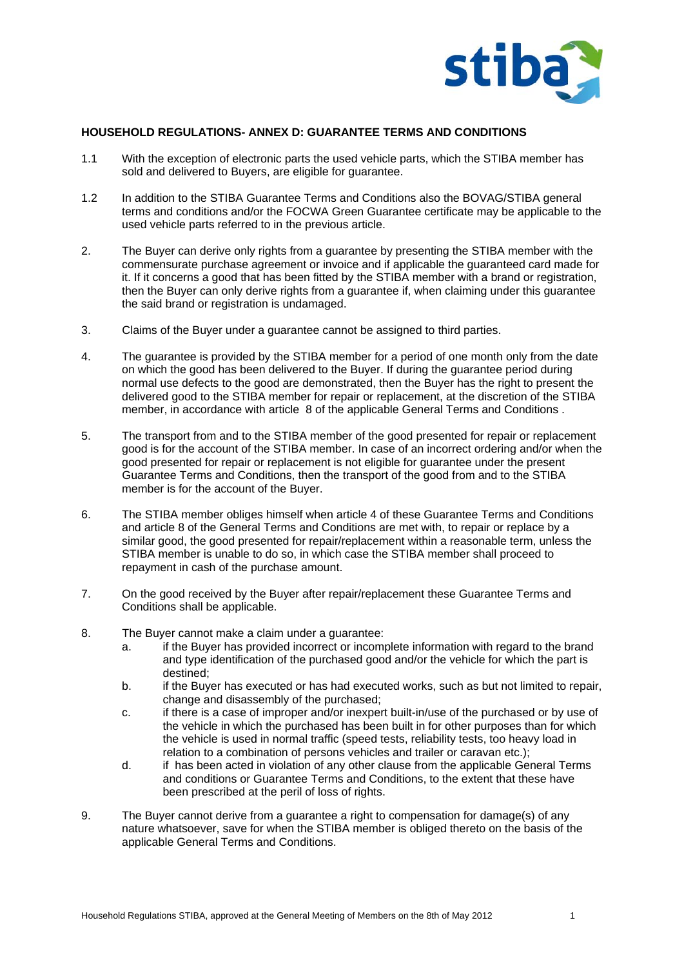

## **HOUSEHOLD REGULATIONS- ANNEX D: GUARANTEE TERMS AND CONDITIONS**

- 1.1 With the exception of electronic parts the used vehicle parts, which the STIBA member has sold and delivered to Buyers, are eligible for guarantee.
- 1.2 In addition to the STIBA Guarantee Terms and Conditions also the BOVAG/STIBA general terms and conditions and/or the FOCWA Green Guarantee certificate may be applicable to the used vehicle parts referred to in the previous article.
- 2. The Buyer can derive only rights from a guarantee by presenting the STIBA member with the commensurate purchase agreement or invoice and if applicable the guaranteed card made for it. If it concerns a good that has been fitted by the STIBA member with a brand or registration, then the Buyer can only derive rights from a guarantee if, when claiming under this guarantee the said brand or registration is undamaged.
- 3. Claims of the Buyer under a guarantee cannot be assigned to third parties.
- 4. The guarantee is provided by the STIBA member for a period of one month only from the date on which the good has been delivered to the Buyer. If during the guarantee period during normal use defects to the good are demonstrated, then the Buyer has the right to present the delivered good to the STIBA member for repair or replacement, at the discretion of the STIBA member, in accordance with article 8 of the applicable General Terms and Conditions .
- 5. The transport from and to the STIBA member of the good presented for repair or replacement good is for the account of the STIBA member. In case of an incorrect ordering and/or when the good presented for repair or replacement is not eligible for guarantee under the present Guarantee Terms and Conditions, then the transport of the good from and to the STIBA member is for the account of the Buyer.
- 6. The STIBA member obliges himself when article 4 of these Guarantee Terms and Conditions and article 8 of the General Terms and Conditions are met with, to repair or replace by a similar good, the good presented for repair/replacement within a reasonable term, unless the STIBA member is unable to do so, in which case the STIBA member shall proceed to repayment in cash of the purchase amount.
- 7. On the good received by the Buyer after repair/replacement these Guarantee Terms and Conditions shall be applicable.
- 8. The Buyer cannot make a claim under a guarantee:
	- a. if the Buyer has provided incorrect or incomplete information with regard to the brand and type identification of the purchased good and/or the vehicle for which the part is destined;
	- b. if the Buyer has executed or has had executed works, such as but not limited to repair, change and disassembly of the purchased;
	- c. if there is a case of improper and/or inexpert built-in/use of the purchased or by use of the vehicle in which the purchased has been built in for other purposes than for which the vehicle is used in normal traffic (speed tests, reliability tests, too heavy load in relation to a combination of persons vehicles and trailer or caravan etc.);
	- d. if has been acted in violation of any other clause from the applicable General Terms and conditions or Guarantee Terms and Conditions, to the extent that these have been prescribed at the peril of loss of rights.
- 9. The Buyer cannot derive from a guarantee a right to compensation for damage(s) of any nature whatsoever, save for when the STIBA member is obliged thereto on the basis of the applicable General Terms and Conditions.